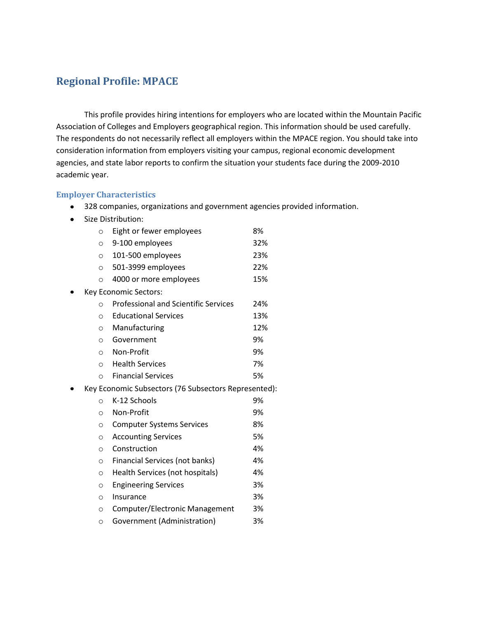### **Regional Profile: MPACE**

This profile provides hiring intentions for employers who are located within the Mountain Pacific Association of Colleges and Employers geographical region. This information should be used carefully. The respondents do not necessarily reflect all employers within the MPACE region. You should take into consideration information from employers visiting your campus, regional economic development agencies, and state labor reports to confirm the situation your students face during the 2009-2010 academic year.

#### **Employer Characteristics**

- 328 companies, organizations and government agencies provided information.
- Size Distribution:

| $\circ$ | Eight or fewer employees                             | 8%  |
|---------|------------------------------------------------------|-----|
| $\circ$ | 9-100 employees                                      | 32% |
| O       | 101-500 employees                                    | 23% |
| $\circ$ | 501-3999 employees                                   | 22% |
| $\circ$ | 4000 or more employees                               | 15% |
|         | Key Economic Sectors:                                |     |
| $\circ$ | <b>Professional and Scientific Services</b>          | 24% |
| $\circ$ | <b>Educational Services</b>                          | 13% |
| $\circ$ | Manufacturing                                        | 12% |
| O       | Government                                           | 9%  |
| $\circ$ | Non-Profit                                           | 9%  |
| $\circ$ | <b>Health Services</b>                               | 7%  |
| $\circ$ | <b>Financial Services</b>                            | 5%  |
|         | Key Economic Subsectors (76 Subsectors Represented): |     |
| $\circ$ | K-12 Schools                                         | 9%  |
| $\circ$ | Non-Profit                                           | 9%  |
| $\circ$ | <b>Computer Systems Services</b>                     | 8%  |
| $\circ$ | <b>Accounting Services</b>                           | 5%  |
| $\circ$ | Construction                                         | 4%  |
| $\circ$ | Financial Services (not banks)                       | 4%  |
| $\circ$ | Health Services (not hospitals)                      | 4%  |
| $\circ$ | <b>Engineering Services</b>                          | 3%  |
| $\circ$ | Insurance                                            | 3%  |
| O       | Computer/Electronic Management                       | 3%  |
| $\circ$ | Government (Administration)                          | 3%  |
|         |                                                      |     |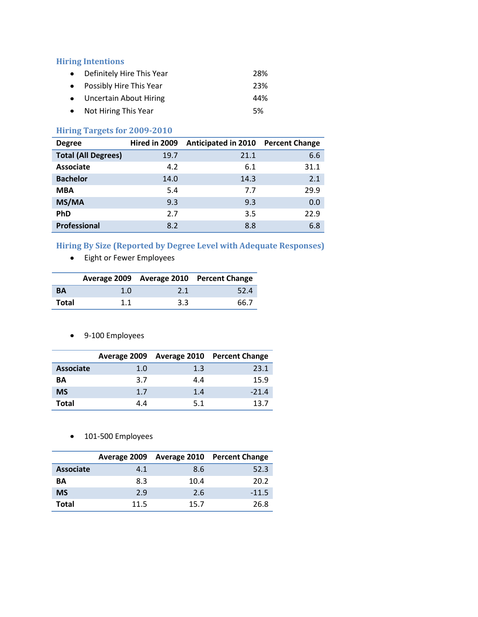### **Hiring Intentions**

| • Definitely Hire This Year | 28% |
|-----------------------------|-----|
| • Possibly Hire This Year   | 23% |
| • Uncertain About Hiring    | 44% |
| • Not Hiring This Year      | .5% |

### **Hiring Targets for 2009-2010**

| <b>Degree</b>              | Hired in 2009 | <b>Anticipated in 2010</b> | <b>Percent Change</b> |
|----------------------------|---------------|----------------------------|-----------------------|
| <b>Total (All Degrees)</b> | 19.7          | 21.1                       | 6.6                   |
| <b>Associate</b>           | 4.2           | 6.1                        | 31.1                  |
| <b>Bachelor</b>            | 14.0          | 14.3                       | 2.1                   |
| <b>MBA</b>                 | 5.4           | 7.7                        | 29.9                  |
| MS/MA                      | 9.3           | 9.3                        | 0.0                   |
| <b>PhD</b>                 | 2.7           | 3.5                        | 22.9                  |
| Professional               | 8.2           | 8.8                        | 6.8                   |

# **Hiring By Size (Reported by Degree Level with Adequate Responses)**

Eight or Fewer Employees

|           |     |     | Average 2009 Average 2010 Percent Change |
|-----------|-----|-----|------------------------------------------|
| <b>BA</b> | 1.0 | 2.1 | 52.4                                     |
| Total     | 1.1 | 3.3 | 66.7                                     |

9-100 Employees

|                  |     |     | Average 2009 Average 2010 Percent Change |
|------------------|-----|-----|------------------------------------------|
| <b>Associate</b> | 1.0 | 1.3 | 23.1                                     |
| ΒA               | 3.7 | 44  | 15.9                                     |
| <b>MS</b>        | 1.7 | 1.4 | $-21.4$                                  |
| Total            | 44  | 5.1 | 13 7                                     |

• 101-500 Employees

|                  |      |      | Average 2009 Average 2010 Percent Change |
|------------------|------|------|------------------------------------------|
| <b>Associate</b> | 4.1  | 8.6  | 52.3                                     |
| ΒA               | 8.3  | 10.4 | 20.2                                     |
| <b>MS</b>        | 2.9  | 2.6  | $-11.5$                                  |
| Total            | 11.5 | 15.7 | 26.8                                     |